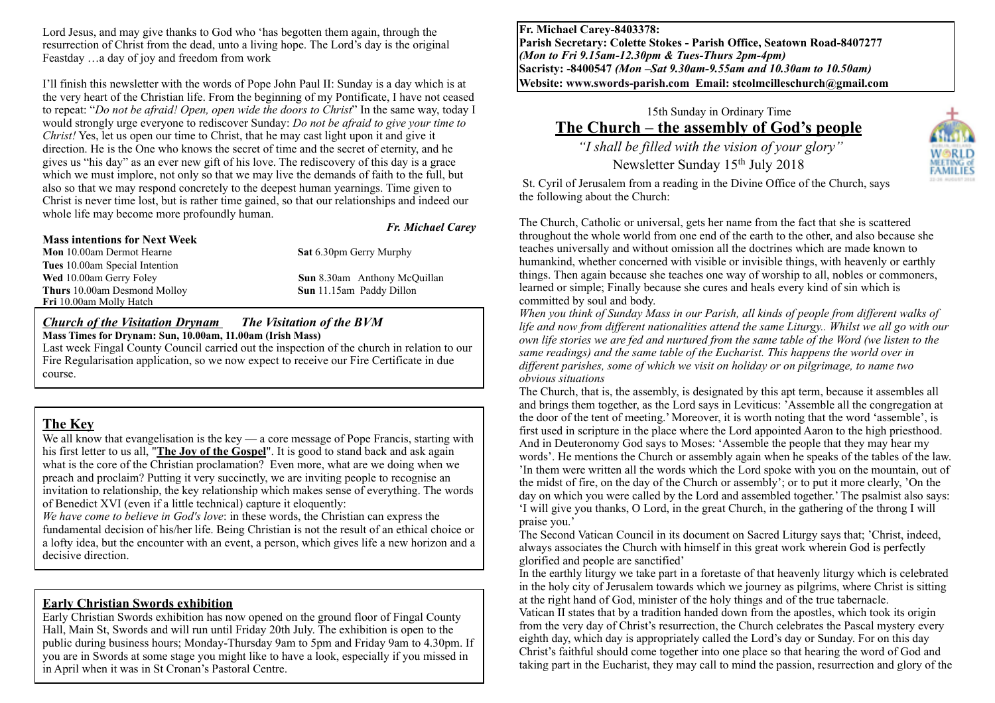Lord Jesus, and may give thanks to God who 'has begotten them again, through the resurrection of Christ from the dead, unto a living hope. The Lord's day is the original Feastday …a day of joy and freedom from work

I'll finish this newsletter with the words of Pope John Paul II: Sunday is a day which is at the very heart of the Christian life. From the beginning of my Pontificate, I have not ceased to repeat: "*Do not be afraid! Open, open wide the doors to Christ*" In the same way, today I would strongly urge everyone to rediscover Sunday: *Do not be afraid to give your time to Christ!* Yes, let us open our time to Christ, that he may cast light upon it and give it direction. He is the One who knows the secret of time and the secret of eternity, and he gives us "his day" as an ever new gift of his love. The rediscovery of this day is a grace which we must implore, not only so that we may live the demands of faith to the full, but also so that we may respond concretely to the deepest human yearnings. Time given to Christ is never time lost, but is rather time gained, so that our relationships and indeed our whole life may become more profoundly human.

#### **Mass intentions for Next Week**

*Fr. Michael Carey*

**Mon** 10.00am Dermot Hearne **Sat** 6.30pm Gerry Murphy **Tues** 10.00am Special Intention **Wed** 10.00am Gerry Foley **Sun** 8.30am Anthony McQuillan **Thurs** 10.00am Desmond Molloy **Sun** 11.15am Paddy Dillon **Fri** 10.00am Molly Hatch

#### *Church of the Visitation Drynam**The Visitation of the BVM*

**Mass Times for Drynam: Sun, 10.00am, 11.00am (Irish Mass)**  Last week Fingal County Council carried out the inspection of the church in relation to our Fire Regularisation application, so we now expect to receive our Fire Certificate in due course.

# **The Key**

We all know that evangelisation is the key  $\frac{1}{2}$  a core message of Pope Francis, starting with his first letter to us all, "**[The Joy of the Gospel](https://tarsus.us12.list-manage.com/track/click?u=edcc824667c6bd95e3e5e90e3&id=23faa6f3c0&e=b9a926ee89%22%20%5Ct%20%22_blank)**". It is good to stand back and ask again what is the core of the Christian proclamation? Even more, what are we doing when we preach and proclaim? Putting it very succinctly, we are inviting people to recognise an invitation to relationship, the key relationship which makes sense of everything. The words of Benedict XVI (even if a little technical) capture it eloquently:

*We have come to believe in God's love*: in these words, the Christian can express the fundamental decision of his/her life. Being Christian is not the result of an ethical choice or a lofty idea, but the encounter with an event, a person, which gives life a new horizon and a decisive direction.

# **Early Christian Swords exhibition**

Early Christian Swords exhibition has now opened on the ground floor of Fingal County Hall, Main St, Swords and will run until Friday 20th July. The exhibition is open to the public during business hours; Monday-Thursday 9am to 5pm and Friday 9am to 4.30pm. If you are in Swords at some stage you might like to have a look, especially if you missed in in April when it was in St Cronan's Pastoral Centre.

**Fr. Michael Carey-8403378: Parish Secretary: Colette Stokes - Parish Office, Seatown Road-8407277**  *(Mon to Fri 9.15am-12.30pm & Tues-Thurs 2pm-4pm)*  **Sacristy: -8400547** *(Mon –Sat 9.30am-9.55am and 10.30am to 10.50am)* **Website: [www.swords-parish.com Email:](http://www.swords-parish.com%20%20email) stcolmcilleschurch@gmail.com**

# 15th Sunday in Ordinary Time **The Church – the assembly of God's people**

 *"I shall be filled with the vision of your glory"*  Newsletter Sunday 15th July 2018



St. Cyril of Jerusalem from a reading in the Divine Office of the Church, says the following about the Church:

The Church, Catholic or universal, gets her name from the fact that she is scattered throughout the whole world from one end of the earth to the other, and also because she teaches universally and without omission all the doctrines which are made known to humankind, whether concerned with visible or invisible things, with heavenly or earthly things. Then again because she teaches one way of worship to all, nobles or commoners, learned or simple; Finally because she cures and heals every kind of sin which is committed by soul and body.

*When you think of Sunday Mass in our Parish, all kinds of people from different walks of life and now from different nationalities attend the same Liturgy.. Whilst we all go with our own life stories we are fed and nurtured from the same table of the Word (we listen to the same readings) and the same table of the Eucharist. This happens the world over in different parishes, some of which we visit on holiday or on pilgrimage, to name two obvious situations* 

The Church, that is, the assembly, is designated by this apt term, because it assembles all and brings them together, as the Lord says in Leviticus: 'Assemble all the congregation at the door of the tent of meeting.' Moreover, it is worth noting that the word 'assemble', is first used in scripture in the place where the Lord appointed Aaron to the high priesthood. And in Deuteronomy God says to Moses: 'Assemble the people that they may hear my words'. He mentions the Church or assembly again when he speaks of the tables of the law. 'In them were written all the words which the Lord spoke with you on the mountain, out of the midst of fire, on the day of the Church or assembly'; or to put it more clearly, 'On the day on which you were called by the Lord and assembled together.' The psalmist also says: 'I will give you thanks, O Lord, in the great Church, in the gathering of the throng I will praise you.'

The Second Vatican Council in its document on Sacred Liturgy says that; 'Christ, indeed, always associates the Church with himself in this great work wherein God is perfectly glorified and people are sanctified'

In the earthly liturgy we take part in a foretaste of that heavenly liturgy which is celebrated in the holy city of Jerusalem towards which we journey as pilgrims, where Christ is sitting at the right hand of God, minister of the holy things and of the true tabernacle.

Vatican II states that by a tradition handed down from the apostles, which took its origin from the very day of Christ's resurrection, the Church celebrates the Pascal mystery every eighth day, which day is appropriately called the Lord's day or Sunday. For on this day Christ's faithful should come together into one place so that hearing the word of God and taking part in the Eucharist, they may call to mind the passion, resurrection and glory of the